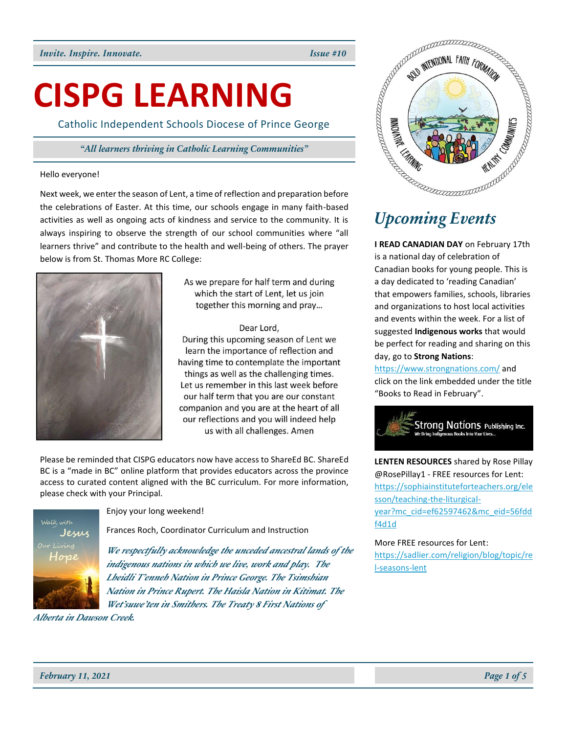# **CISPG LEARNING**

Catholic Independent Schools Diocese of Prince George

# *"All learners thriving in Catholic Learning Communities"*

## Hello everyone!

Next week, we enter the season of Lent, a time of reflection and preparation before activities as well as ongoing acts of kindness and service to the community. It is always inspiring to observe the strength of our school communities where "all learners thrive" and contribute to the health and well-being of others. The prayer below is from St. Thomas More RC College:



As we prepare for half term and during which the start of Lent, let us join together this morning and pray...

# Dear Lord,

During this upcoming season of Lent we learn the importance of reflection and having time to contemplate the important things as well as the challenging times. Let us remember in this last week before our half term that you are our constant companion and you are at the heart of all our reflections and you will indeed help us with all challenges. Amen

Please be reminded that CISPG educators now have access to ShareEd BC. ShareEd BC is a "made in BC" online platform that provides educators across the province access to curated content aligned with the BC curriculum. For more information, please check with your Principal.



Enjoy your long weekend!

Frances Roch, Coordinator Curriculum and Instruction

*We respectfully acknowledge the unceded ancestral lands of the indigenous nations in which we live, work and play. The Lheidli T'enneh Nation in Prince George. The Tsimshian Nation in Prince Rupert. The Haisla Nation in Kitimat. The Wet'suwe'ten in Smithers. The Treaty 8 First Nations of* 

*Alberta in Dawson Creek.*



**I READ CANADIAN DAY** on February 17th is a national day of celebration of Canadian books for young people. This is a day dedicated to 'reading Canadian' that empowers families, schools, libraries and organizations to host local activities and events within the week. For a list of suggested **Indigenous works** that would be perfect for reading and sharing on this day, go to **Strong Nations**:

<https://www.strongnations.com/> and click on the link embedded under the title "Books to Read in February".



**LENTEN RESOURCES** shared by Rose Pillay @RosePillay1 - FREE resources for Lent: [https://sophiainstituteforteachers.org/ele](https://sophiainstituteforteachers.org/elesson/teaching-the-liturgical-year?mc_cid=ef62597462&mc_eid=56fddf4d1d) [sson/teaching-the-liturgical](https://sophiainstituteforteachers.org/elesson/teaching-the-liturgical-year?mc_cid=ef62597462&mc_eid=56fddf4d1d)[year?mc\\_cid=ef62597462&mc\\_eid=56fdd](https://sophiainstituteforteachers.org/elesson/teaching-the-liturgical-year?mc_cid=ef62597462&mc_eid=56fddf4d1d) [f4d1d](https://sophiainstituteforteachers.org/elesson/teaching-the-liturgical-year?mc_cid=ef62597462&mc_eid=56fddf4d1d)

More FREE resources for Lent: [https://sadlier.com/religion/blog/topic/re](https://sadlier.com/religion/blog/topic/rel-seasons-lent) [l-seasons-lent](https://sadlier.com/religion/blog/topic/rel-seasons-lent)

*February 11, 2021 Page 1 of 5*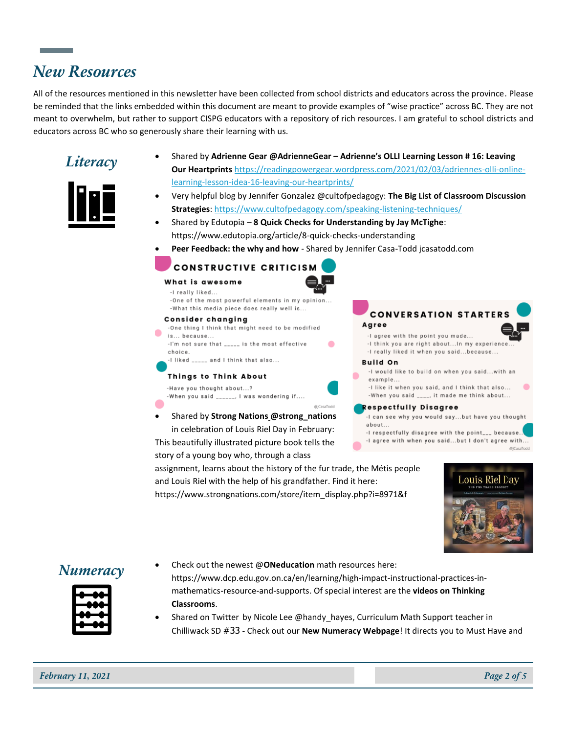# *New Resources*

All of the resources mentioned in this newsletter have been collected from school districts and educators across the province. Please be reminded that the links embedded within this document are meant to provide examples of "wise practice" across BC. They are not meant to overwhelm, but rather to support CISPG educators with a repository of rich resources. I am grateful to school districts and educators across BC who so generously share their learning with us.





- *Literacy* Shared by **Adrienne Gear @AdrienneGear – Adrienne's OLLI Learning Lesson # 16: Leaving Our Heartprints** [https://readingpowergear.wordpress.com/2021/02/03/adriennes-olli-online](https://readingpowergear.wordpress.com/2021/02/03/adriennes-olli-online-learning-lesson-idea-16-leaving-our-heartprints/)[learning-lesson-idea-16-leaving-our-heartprints/](https://readingpowergear.wordpress.com/2021/02/03/adriennes-olli-online-learning-lesson-idea-16-leaving-our-heartprints/)
	- Very helpful blog by Jennifer Gonzalez @cultofpedagogy: **The Big List of Classroom Discussion Strategies**[: https://www.cultofpedagogy.com/speaking-listening-techniques/](https://www.cultofpedagogy.com/speaking-listening-techniques/)
	- Shared by Edutopia **8 Quick Checks for Understanding by Jay McTighe**: https://www.edutopia.org/article/8-quick-checks-understanding
	- **Peer Feedback: the why and how** Shared by Jennifer Casa-Todd jcasatodd.com

 $\bullet$ 

# **CONSTRUCTIVE CRITICISM**

## What is awesome

-I really liked.. -One of the most powerful elements in my opinion.. -What this media piece does really well is...

## **Consider changing**

-One thing I think that might need to be modified is... because... -I'm not sure that \_\_\_\_\_ is the most effective choice. -I liked \_\_\_\_\_ and I think that also...

# Things to Think About

-Have you thought about...? When you said \_\_\_\_\_\_, I was wondering if....

• Shared by **Strong Nations @strong\_nations** in celebration of Louis Riel Day in February: This beautifully illustrated picture book tells the

story of a young boy who, through a class

assignment, learns about the history of the fur trade, the Métis people and Louis Riel with the help of his grandfather. Find it here: https://www.strongnations.com/store/item\_display.php?i=8971&f



# -When you said \_\_\_\_, it made me think about...

**Respectfully Disagree** 

- -I can see why you would say...but have you thought about..
- -I respectfully disagree with the point\_\_\_ because..

-I agree with when you said...but I don't agree with... @)CasaTodd





- **Numeracy** Check out the newest @**ONeducation** math resources here: https://www.dcp.edu.gov.on.ca/en/learning/high-impact-instructional-practices-inmathematics-resource-and-supports. Of special interest are the **videos on Thinking Classrooms**.
	- Shared on Twitter by Nicole Lee @handy hayes, Curriculum Math Support teacher in Chilliwack SD #33 - Check out our **New Numeracy Webpage**! It directs you to Must Have and

*February 11, 2021 Page 2 of 5*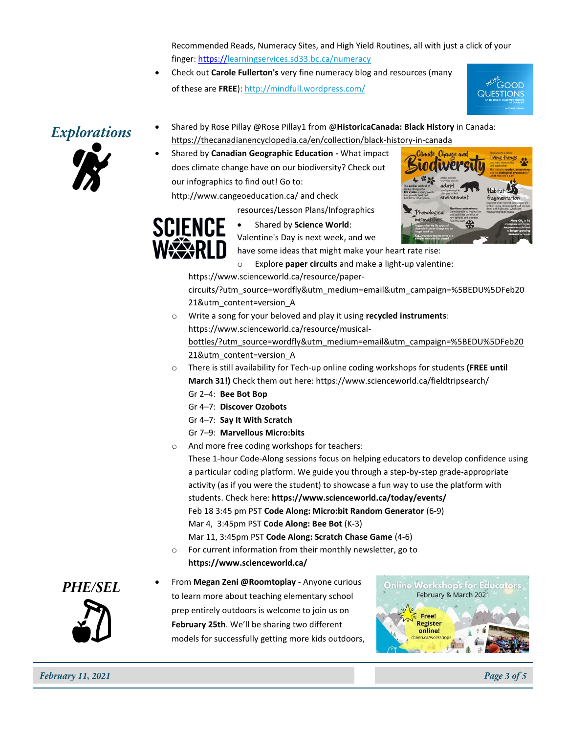Recommended Reads, Numeracy Sites, and High Yield Routines, all with just a click of your finger: [https://learningservices.sd33.bc.ca/numeracy](https://t.co/MIZthGiRp4?amp=1)

• Check out **Carole Fullerton's** very fine numeracy blog and resources (many of these are **FREE**):<http://mindfull.wordpress.com/>





- *Explorations* Shared by Rose Pillay @Rose Pillay1 from @**HistoricaCanada: Black History** in Canada: [https://thecanadianencyclopedia.ca/en/collection/black-history-in-canada](https://t.co/aMcBzgDVQB?amp=1)
	- Shared by **Canadian Geographic Education -** What impact does climate change have on our biodiversity? Check out our infographics to find out! Go to:

http://www.cangeoeducation.ca/ and check

resources/Lesson Plans/Infographics



• Shared by **Science World**:

Valentine's Day is next week, and we

have some ideas that might make your heart rate rise:

Explore **paper circuits** and make a light-up valentine:

https://www.scienceworld.ca/resource/paper-

circuits/?utm\_source=wordfly&utm\_medium=email&utm\_campaign=%5BEDU%5DFeb20 21&utm\_content=version\_A

- o Write a song for your beloved and play it using **recycled instruments**: https://www.scienceworld.ca/resource/musicalbottles/?utm\_source=wordfly&utm\_medium=email&utm\_campaign=%5BEDU%5DFeb20 21&utm\_content=version\_A
- o There is still availability for Tech-up online coding workshops for students **(FREE until March 31!)** Check them out here: https://www.scienceworld.ca/fieldtripsearch/
	- Gr 2–4: **Bee Bot Bop**
	- Gr 4–7: **Discover Ozobots**
	- Gr 4–7: **Say It With Scratch**
	- Gr 7–9: **Marvellous Micro:bits**
- o And more free coding workshops for teachers: These 1-hour Code-Along sessions focus on helping educators to develop confidence using a particular coding platform. We guide you through a step-by-step grade-appropriate activity (as if you were the student) to showcase a fun way to use the platform with students. Check here: **https://www.scienceworld.ca/today/events/** Feb 18 3:45 pm PST **Code Along: Micro:bit Random Generator** (6-9) Mar 4, [3:45pm](https://e.wordfly.com/click?sid=ODI0XzM5MTdfODM4NDNfNzEyOQ&l=00b2bacf-8066-eb11-a82b-0050569dd3d9&utm_source=wordfly&utm_medium=email&utm_campaign=%5BEDU%5DFeb2021&utm_content=version_A) [PST](https://e.wordfly.com/click?sid=ODI0XzM5MTdfODM4NDNfNzEyOQ&l=ffb1bacf-8066-eb11-a82b-0050569dd3d9&utm_source=wordfly&utm_medium=email&utm_campaign=%5BEDU%5DFeb2021&utm_content=version_A) **Code Along: Bee Bot** (K-3) [Mar 11, 3:45pm](https://e.wordfly.com/click?sid=ODI0XzM5MTdfODM4NDNfNzEyOQ&l=01b2bacf-8066-eb11-a82b-0050569dd3d9&utm_source=wordfly&utm_medium=email&utm_campaign=%5BEDU%5DFeb2021&utm_content=version_A) [PST](https://e.wordfly.com/click?sid=ODI0XzM5MTdfODM4NDNfNzEyOQ&l=ffb1bacf-8066-eb11-a82b-0050569dd3d9&utm_source=wordfly&utm_medium=email&utm_campaign=%5BEDU%5DFeb2021&utm_content=version_A) **Code Along: Scratch Chase Game** (4-6)
- o For current information from their monthly newsletter, go to **https://www.scienceworld.ca/**



**PHE/SEL** • From Megan Zeni @Roomtoplay - Anyone curious to learn more about teaching elementary school prep entirely outdoors is welcome to join us on **February 25th**. We'll be sharing two different models for successfully getting more kids outdoors,

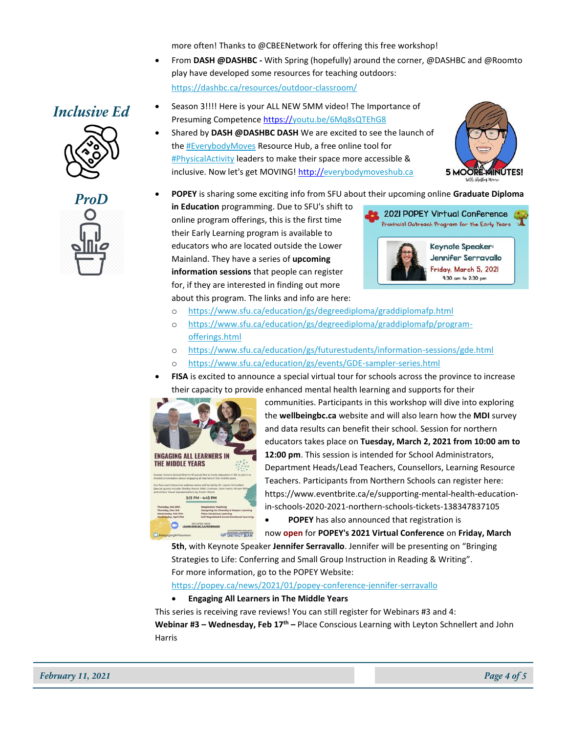more often! Thanks to @CBEENetwork for offering this free workshop!

• From **DASH @DASHBC -** With Spring (hopefully) around the corner, @DASHBC and @Roomto play have developed some resources for teaching outdoors: <https://dashbc.ca/resources/outdoor-classroom/>



- **Inclusive Ed** Season 3!!!! Here is your ALL NEW 5MM video! The Importance of Presuming Competenc[e https://youtu.be/6Mq8sQTEhG8](https://t.co/2rYzsf1EUX?amp=1)
	- Shared by **DASH @DASHBC DASH** We are excited to see the launch of th[e #EverybodyMoves](https://twitter.com/hashtag/EverybodyMoves?src=hashtag_click) Resource Hub, a free online tool for [#PhysicalActivity](https://twitter.com/hashtag/PhysicalActivity?src=hashtag_click) leaders to make their space more accessible & inclusive. Now let's get MOVING! [http://everybodymoveshub.ca](https://t.co/v4nvDNL74V?amp=1)



**ProD** • **POPEY** is sharing some exciting info from SFU about their upcoming online **Graduate Diploma** 

**in Education** programming. Due to SFU's shift to online program offerings, this is the first time their Early Learning program is available to educators who are located outside the Lower Mainland. They have a series of **upcoming information sessions** that people can register for, if they are interested in finding out more about this program. The links and info are here:



- o <https://www.sfu.ca/education/gs/degreediploma/graddiplomafp.html>
- o [https://www.sfu.ca/education/gs/degreediploma/graddiplomafp/program](https://www.sfu.ca/education/gs/degreediploma/graddiplomafp/program-offerings.html)[offerings.html](https://www.sfu.ca/education/gs/degreediploma/graddiplomafp/program-offerings.html)
- o <https://www.sfu.ca/education/gs/futurestudents/information-sessions/gde.html>
- o <https://www.sfu.ca/education/gs/events/GDE-sampler-series.html>
- **FISA** is excited to announce a special virtual tour for schools across the province to increase their capacity to provide enhanced mental health learning and supports for their



communities. Participants in this workshop will dive into exploring the **wellbeingbc.ca** website and will also learn how the **MDI** survey and data results can benefit their school. Session for northern educators takes place on **Tuesday, March 2, 2021 from 10:00 am to 12:00 pm**. This session is intended for School Administrators, Department Heads/Lead Teachers, Counsellors, Learning Resource Teachers. Participants from Northern Schools can register here: https://www.eventbrite.ca/e/supporting-mental-health-educationin-schools-2020-2021-northern-schools-tickets-138347837105 • **POPEY** has also announced that registration is

now **open** for **POPEY's 2021 Virtual Conference** on **Friday, March** 

**5th**, with Keynote Speaker **Jennifer Serravallo**. Jennifer will be presenting on "Bringing Strategies to Life: Conferring and Small Group Instruction in Reading & Writing". For more information, go to the POPEY Website:

<https://popey.ca/news/2021/01/popey-conference-jennifer-serravallo>

• **Engaging All Learners in The Middle Years**

This series is receiving rave reviews! You can still register for Webinars #3 and 4: **Webinar #3 – Wednesday, Feb 17th –** Place Conscious Learning with Leyton Schnellert and John Harris